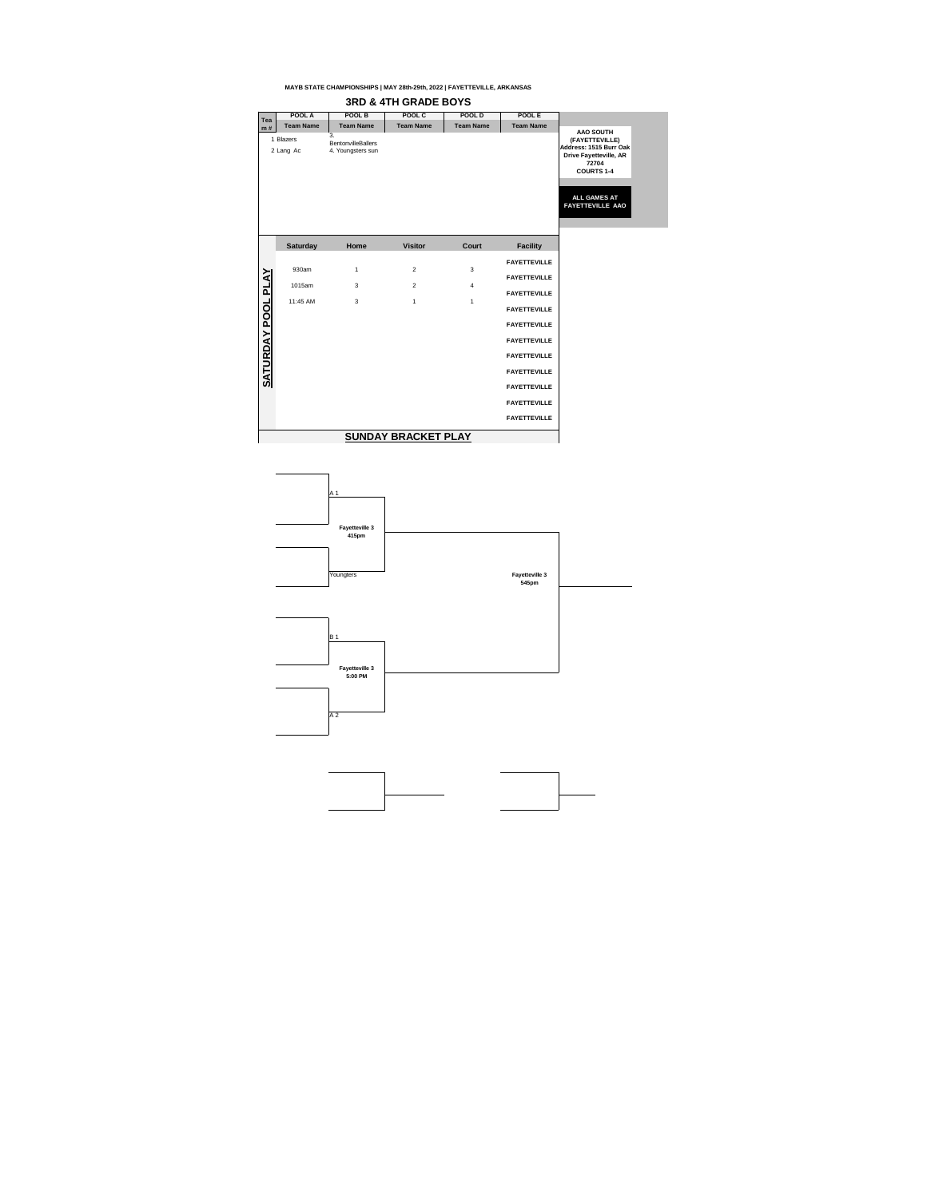



| Tea                 | POOL A                 | <b>POOL B</b>                                        | POOL C           | POOL D           | POOL E              |                                                                                                                                                                               |
|---------------------|------------------------|------------------------------------------------------|------------------|------------------|---------------------|-------------------------------------------------------------------------------------------------------------------------------------------------------------------------------|
| m#                  | <b>Team Name</b>       | <b>Team Name</b>                                     | <b>Team Name</b> | <b>Team Name</b> | <b>Team Name</b>    |                                                                                                                                                                               |
|                     | 1 Blazers<br>2 Lang Ac | 3.<br><b>BentonvilleBallers</b><br>4. Youngsters sun |                  |                  |                     | <b>AAO SOUTH</b><br>(FAYETTEVILLE)<br>Address: 1515 Burr Oak<br><b>Drive Fayetteville, AR</b><br>72704<br><b>COURTS 1-4</b><br><b>ALL GAMES AT</b><br><b>FAYETTEVILLE AAO</b> |
|                     | <b>Saturday</b>        | Home                                                 | <b>Visitor</b>   | <b>Court</b>     | <b>Facility</b>     |                                                                                                                                                                               |
|                     | 930am                  |                                                      | 2                |                  | <b>FAYETTEVILLE</b> |                                                                                                                                                                               |
|                     |                        | $\mathbf 1$                                          |                  | 3                | <b>FAYETTEVILLE</b> |                                                                                                                                                                               |
|                     | 1015am                 | $\mathbf{3}$                                         | 2                | $\overline{4}$   | <b>FAYETTEVILLE</b> |                                                                                                                                                                               |
| <u>AY POOL PLAY</u> | 11:45 AM               | $\mathfrak{S}$                                       | $\mathbf 1$      | $\mathbf 1$      | <b>FAYETTEVILLE</b> |                                                                                                                                                                               |
|                     |                        |                                                      |                  |                  | <b>FAYETTEVILLE</b> |                                                                                                                                                                               |
|                     |                        |                                                      |                  |                  | <b>FAYETTEVILLE</b> |                                                                                                                                                                               |
| <b>SATURD</b>       |                        |                                                      |                  |                  | <b>FAYETTEVILLE</b> |                                                                                                                                                                               |
|                     |                        |                                                      |                  |                  | <b>FAYETTEVILLE</b> |                                                                                                                                                                               |
|                     |                        |                                                      |                  |                  | <b>FAYETTEVILLE</b> |                                                                                                                                                                               |
|                     |                        |                                                      |                  |                  | <b>FAYETTEVILLE</b> |                                                                                                                                                                               |
|                     |                        |                                                      |                  |                  | <b>FAYETTEVILLE</b> |                                                                                                                                                                               |
|                     |                        |                                                      |                  |                  |                     |                                                                                                                                                                               |

## **3RD & 4TH GRADE BOYS**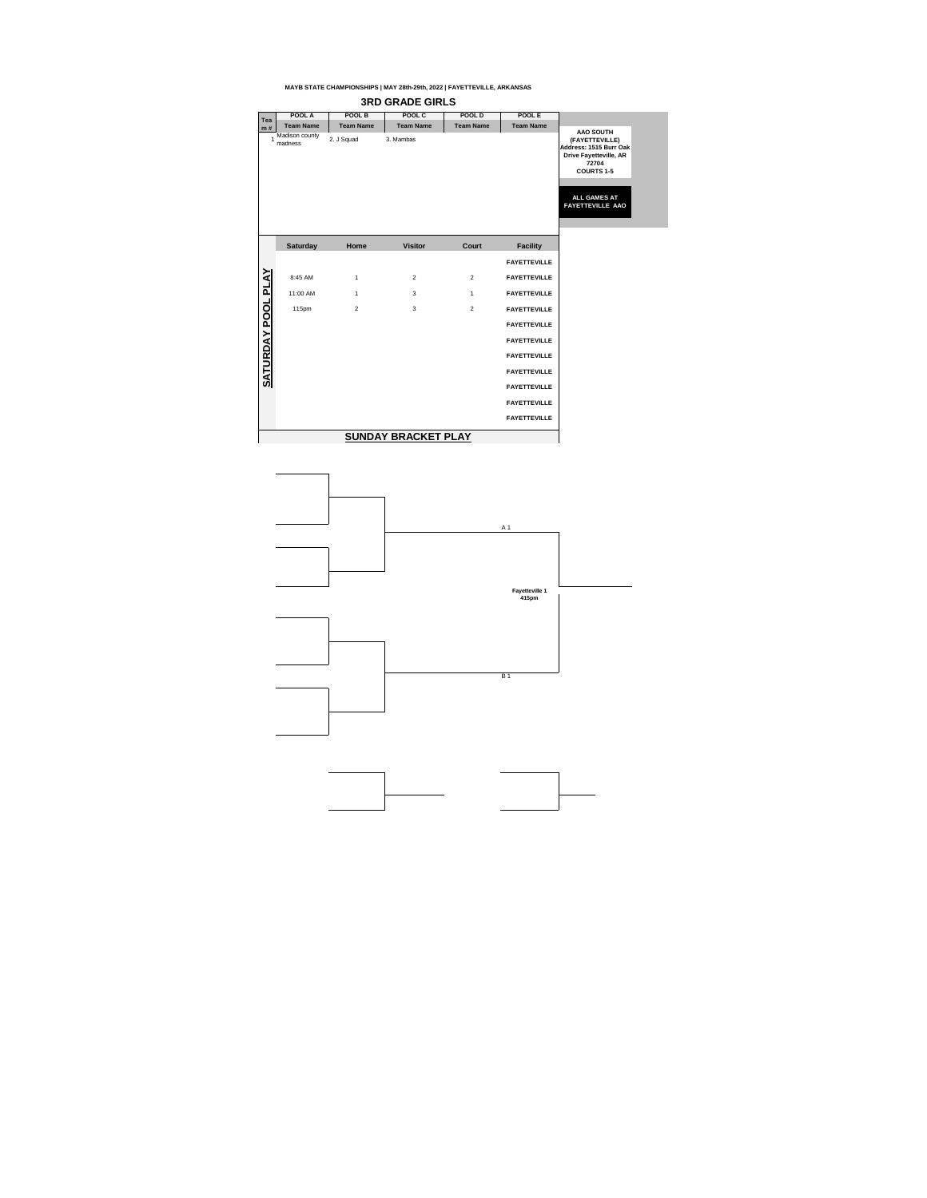



| <b>Tea</b>    | POOL A                    | POOL B           | POOL C                     | <b>POOL D</b>    | <b>POOLE</b>        |                                                                                                                                                                               |
|---------------|---------------------------|------------------|----------------------------|------------------|---------------------|-------------------------------------------------------------------------------------------------------------------------------------------------------------------------------|
| m#            | <b>Team Name</b>          | <b>Team Name</b> | <b>Team Name</b>           | <b>Team Name</b> | <b>Team Name</b>    |                                                                                                                                                                               |
|               | Madison county<br>madness | 2. J Squad       | 3. Mambas                  |                  |                     | <b>AAO SOUTH</b><br>(FAYETTEVILLE)<br>Address: 1515 Burr Oak<br><b>Drive Fayetteville, AR</b><br>72704<br><b>COURTS 1-5</b><br><b>ALL GAMES AT</b><br><b>FAYETTEVILLE AAO</b> |
|               | <b>Saturday</b>           | Home             | <b>Visitor</b>             | <b>Court</b>     | <b>Facility</b>     |                                                                                                                                                                               |
|               |                           |                  |                            |                  | <b>FAYETTEVILLE</b> |                                                                                                                                                                               |
| <b>PLAY</b>   | 8:45 AM                   | $\mathbf{1}$     | $\mathbf{2}$               | 2                | <b>FAYETTEVILLE</b> |                                                                                                                                                                               |
|               | 11:00 AM                  | $\mathbf{1}$     | $\mathfrak{S}$             | $\mathbf{1}$     | <b>FAYETTEVILLE</b> |                                                                                                                                                                               |
| <b>POOL</b>   | 115pm                     | $\overline{2}$   | $\mathfrak{S}$             | $\overline{2}$   | <b>FAYETTEVILLE</b> |                                                                                                                                                                               |
|               |                           |                  |                            |                  | <b>FAYETTEVILLE</b> |                                                                                                                                                                               |
| $\sum$        |                           |                  |                            |                  | <b>FAYETTEVILLE</b> |                                                                                                                                                                               |
|               |                           |                  |                            |                  | <b>FAYETTEVILLE</b> |                                                                                                                                                                               |
| <b>SATURD</b> |                           |                  |                            |                  | <b>FAYETTEVILLE</b> |                                                                                                                                                                               |
|               |                           |                  |                            |                  | <b>FAYETTEVILLE</b> |                                                                                                                                                                               |
|               |                           |                  |                            |                  | <b>FAYETTEVILLE</b> |                                                                                                                                                                               |
|               |                           |                  |                            |                  | <b>FAYETTEVILLE</b> |                                                                                                                                                                               |
|               |                           |                  | <b>SUNDAY BRACKET PLAY</b> |                  |                     |                                                                                                                                                                               |

## **3RD GRADE GIRLS**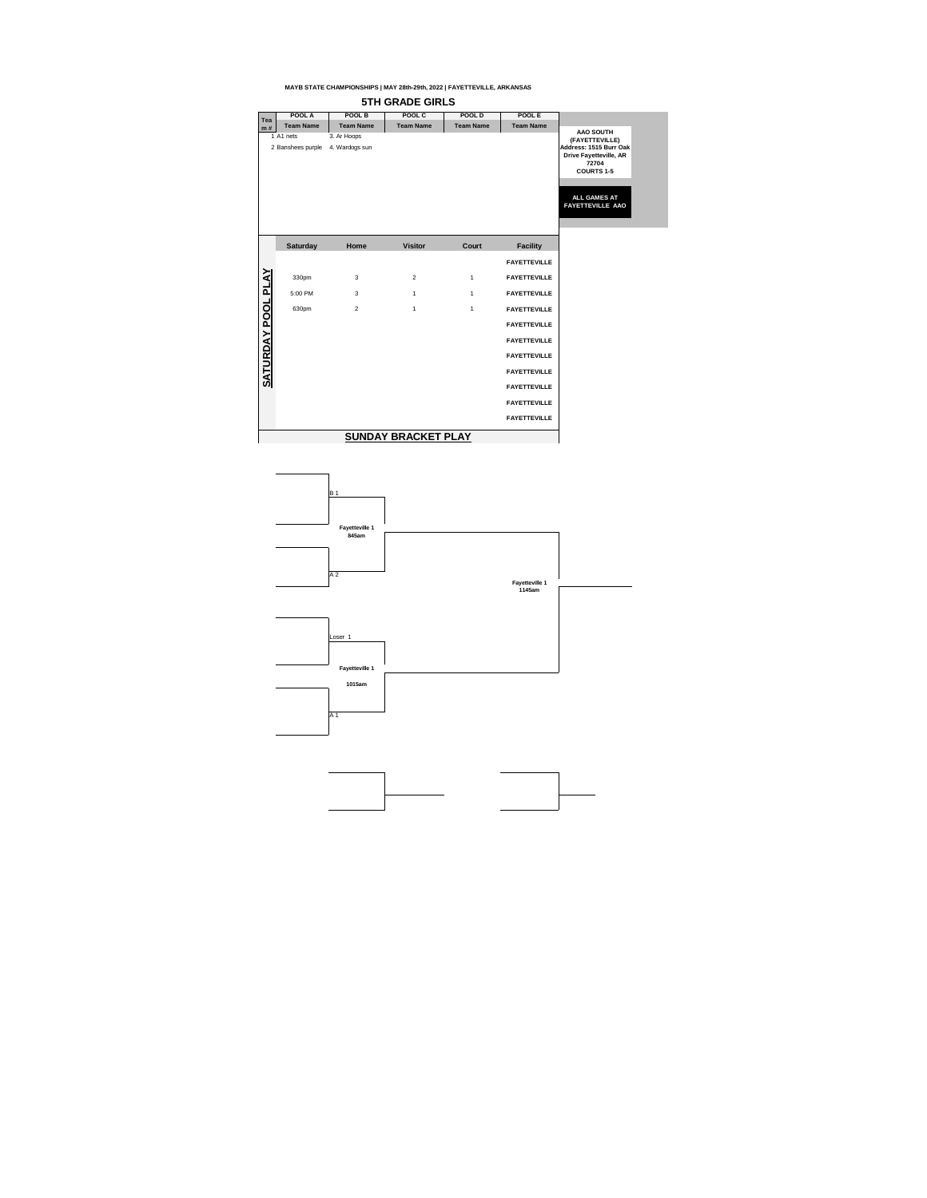



| <b>Tea</b>       | POOL A                         | <b>POOL B</b>                 | POOL C           | <b>POOL D</b>    | POOL E              |                                                                                                                                                                               |
|------------------|--------------------------------|-------------------------------|------------------|------------------|---------------------|-------------------------------------------------------------------------------------------------------------------------------------------------------------------------------|
| m#               | <b>Team Name</b>               | <b>Team Name</b>              | <b>Team Name</b> | <b>Team Name</b> | <b>Team Name</b>    |                                                                                                                                                                               |
|                  | 1 A1 nets<br>2 Banshees purple | 3. Ar Hoops<br>4. Wardogs sun |                  |                  |                     | <b>AAO SOUTH</b><br>(FAYETTEVILLE)<br>Address: 1515 Burr Oak<br><b>Drive Fayetteville, AR</b><br>72704<br><b>COURTS 1-5</b><br><b>ALL GAMES AT</b><br><b>FAYETTEVILLE AAO</b> |
|                  | <b>Saturday</b>                | Home                          | <b>Visitor</b>   | Court            | <b>Facility</b>     |                                                                                                                                                                               |
|                  |                                |                               |                  |                  | <b>FAYETTEVILLE</b> |                                                                                                                                                                               |
| <b>PLAY</b>      | 330pm                          | $\mathfrak{S}$                | $\overline{2}$   | $\mathbf 1$      | <b>FAYETTEVILLE</b> |                                                                                                                                                                               |
|                  | 5:00 PM                        | $\mathfrak{S}$                | $\mathbf 1$      | $\mathbf 1$      | <b>FAYETTEVILLE</b> |                                                                                                                                                                               |
| POOL             | 630pm                          | $\overline{2}$                | $\mathbf 1$      | $\mathbf 1$      | <b>FAYETTEVILLE</b> |                                                                                                                                                                               |
|                  |                                |                               |                  |                  | <b>FAYETTEVILLE</b> |                                                                                                                                                                               |
| $\sum_{i=1}^{n}$ |                                |                               |                  |                  | <b>FAYETTEVILLE</b> |                                                                                                                                                                               |
| <b>SATURD</b>    |                                |                               |                  |                  | <b>FAYETTEVILLE</b> |                                                                                                                                                                               |
|                  |                                |                               |                  |                  | <b>FAYETTEVILLE</b> |                                                                                                                                                                               |
|                  |                                |                               |                  |                  | <b>FAYETTEVILLE</b> |                                                                                                                                                                               |
|                  |                                |                               |                  |                  | <b>FAYETTEVILLE</b> |                                                                                                                                                                               |
|                  |                                |                               |                  |                  | <b>FAYETTEVILLE</b> |                                                                                                                                                                               |
|                  |                                |                               |                  |                  |                     |                                                                                                                                                                               |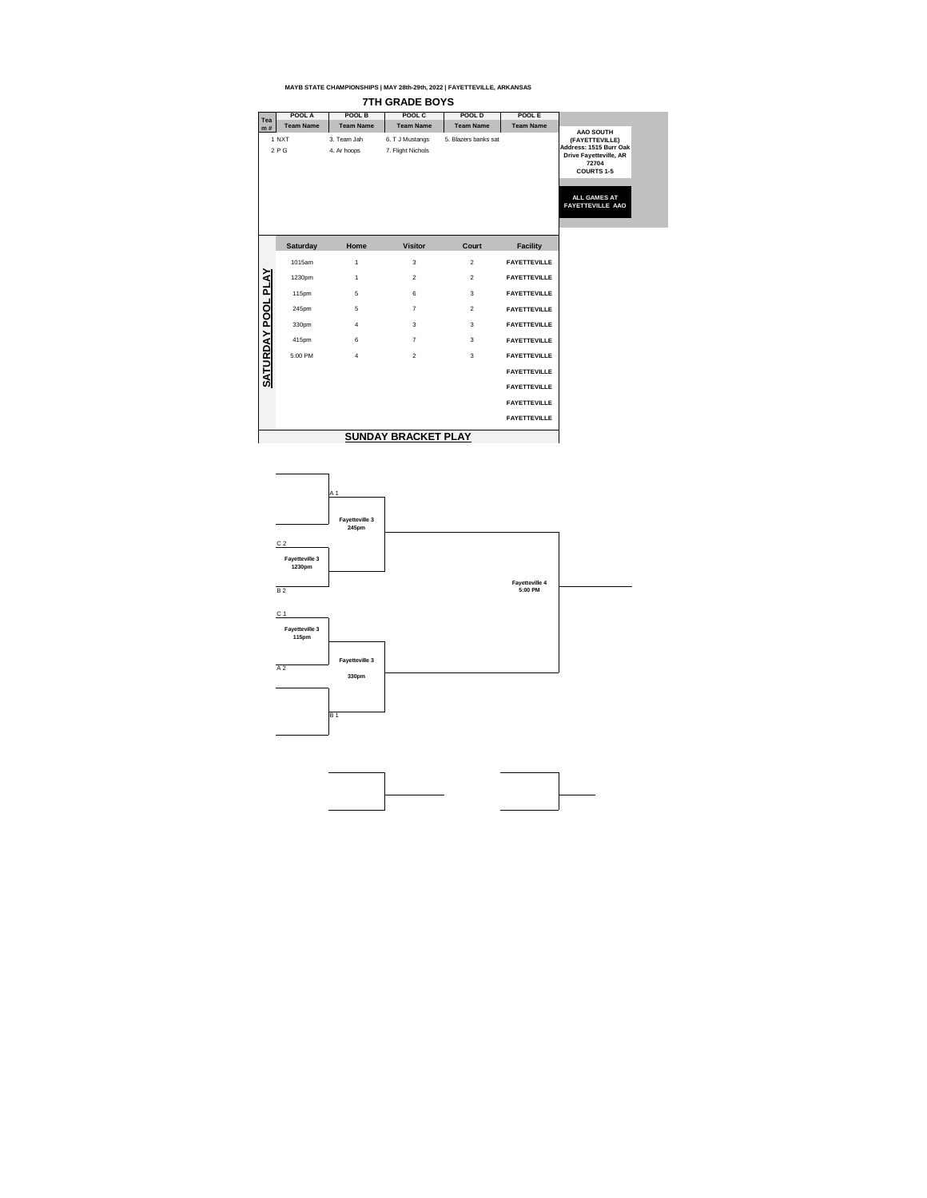| <b>Tea</b>          | POOL A           | POOL B                     | POOL C                               | <b>POOL D</b>        | POOL E              |                                                                                                                             |
|---------------------|------------------|----------------------------|--------------------------------------|----------------------|---------------------|-----------------------------------------------------------------------------------------------------------------------------|
| m#                  | <b>Team Name</b> | <b>Team Name</b>           | <b>Team Name</b>                     | <b>Team Name</b>     | <b>Team Name</b>    |                                                                                                                             |
|                     | 1 NXT<br>2PG     | 3. Team Jah<br>4. Ar hoops | 6. T J Mustangs<br>7. Flight Nichols | 5. Blazers banks sat |                     | <b>AAO SOUTH</b><br>(FAYETTEVILLE)<br>Address: 1515 Burr Oak<br><b>Drive Fayetteville, AR</b><br>72704<br><b>COURTS 1-5</b> |
|                     |                  |                            |                                      |                      |                     | <b>ALL GAMES AT</b><br><b>FAYETTEVILLE AAO</b>                                                                              |
|                     | <b>Saturday</b>  | Home                       | <b>Visitor</b>                       | <b>Court</b>         | <b>Facility</b>     |                                                                                                                             |
|                     | 1015am           | $\mathbf 1$                | 3                                    | $\overline{2}$       | <b>FAYETTEVILLE</b> |                                                                                                                             |
| <b>AY POOL PLAY</b> | 1230pm           | 1                          | $\overline{2}$                       | $\overline{2}$       | <b>FAYETTEVILLE</b> |                                                                                                                             |
|                     | 115pm            | 5                          | $6\phantom{1}$                       | 3                    | <b>FAYETTEVILLE</b> |                                                                                                                             |
|                     | 245pm            | $\overline{5}$             | $\overline{7}$                       | 2                    | <b>FAYETTEVILLE</b> |                                                                                                                             |
|                     | 330pm            | $\overline{4}$             | 3                                    | 3                    | <b>FAYETTEVILLE</b> |                                                                                                                             |
|                     | 415pm            | 6                          | $\overline{7}$                       | 3                    | <b>FAYETTEVILLE</b> |                                                                                                                             |
| <b>SATURD</b>       | 5:00 PM          | $\overline{4}$             | $\overline{2}$                       | 3                    | <b>FAYETTEVILLE</b> |                                                                                                                             |
|                     |                  |                            |                                      |                      | <b>FAYETTEVILLE</b> |                                                                                                                             |
|                     |                  |                            |                                      |                      | <b>FAYETTEVILLE</b> |                                                                                                                             |
|                     |                  |                            |                                      |                      | <b>FAYETTEVILLE</b> |                                                                                                                             |
|                     |                  |                            |                                      |                      | <b>FAYETTEVILLE</b> |                                                                                                                             |
|                     |                  |                            |                                      |                      |                     |                                                                                                                             |



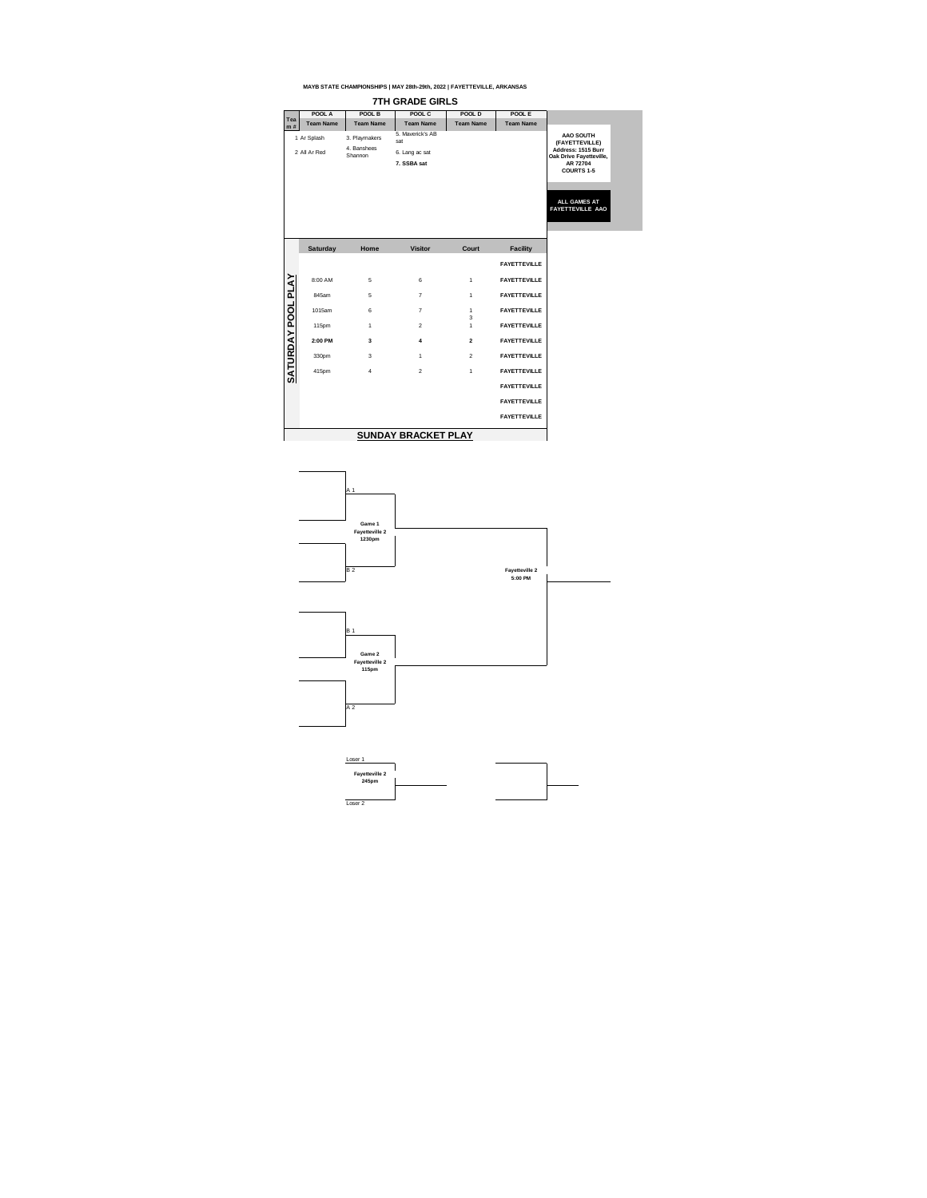### **POOL A POOL B POOL C POOL D POOL E Tea m # Team Name Team Name Team Name Team Name Team Name** 1 Ar Splash 3. Playmakers 5. Maverick's AB **AAO SOUTH**  sat **(FAYETTEVILLE)**  2 All Ar Red 4. Banshees **Address: 1515 Burr**  6. Lang ac sat **Oak Drive Fayetteville, 7. SSBA sat AR 72704 COURTS 1-5 ALL GAMES AT FAYETTEVILLE AAO Saturday Home Visitor FacilityCourt FAYETTEVILLE** YAJA **SATURDAY POOL PLAY** 8:00 AM 5 6 6 1 **FAYETTEVILLE** 845am 5 7 7 1 **FAYETTEVILLE SATURDAY POOL** 1015am 6 7 1 **FAYETTEVILLE** 3 115pm 1 2 1 1 **FAYETTEVILLE 2:00 PM 3 4 2 FAYETTEVILLE** 330pm 3 1 2 **FAYETTEVILLE** 415pm 4 2 2 1 **FAYETTEVILLE FAYETTEVILLE FAYETTEVILLE**

**FAYETTEVILLE**



# **SUNDAY BRACKET PLAY**

### **MAYB STATE CHAMPIONSHIPS | MAY 28th-29th, 2022 | FAYETTEVILLE, ARKANSAS**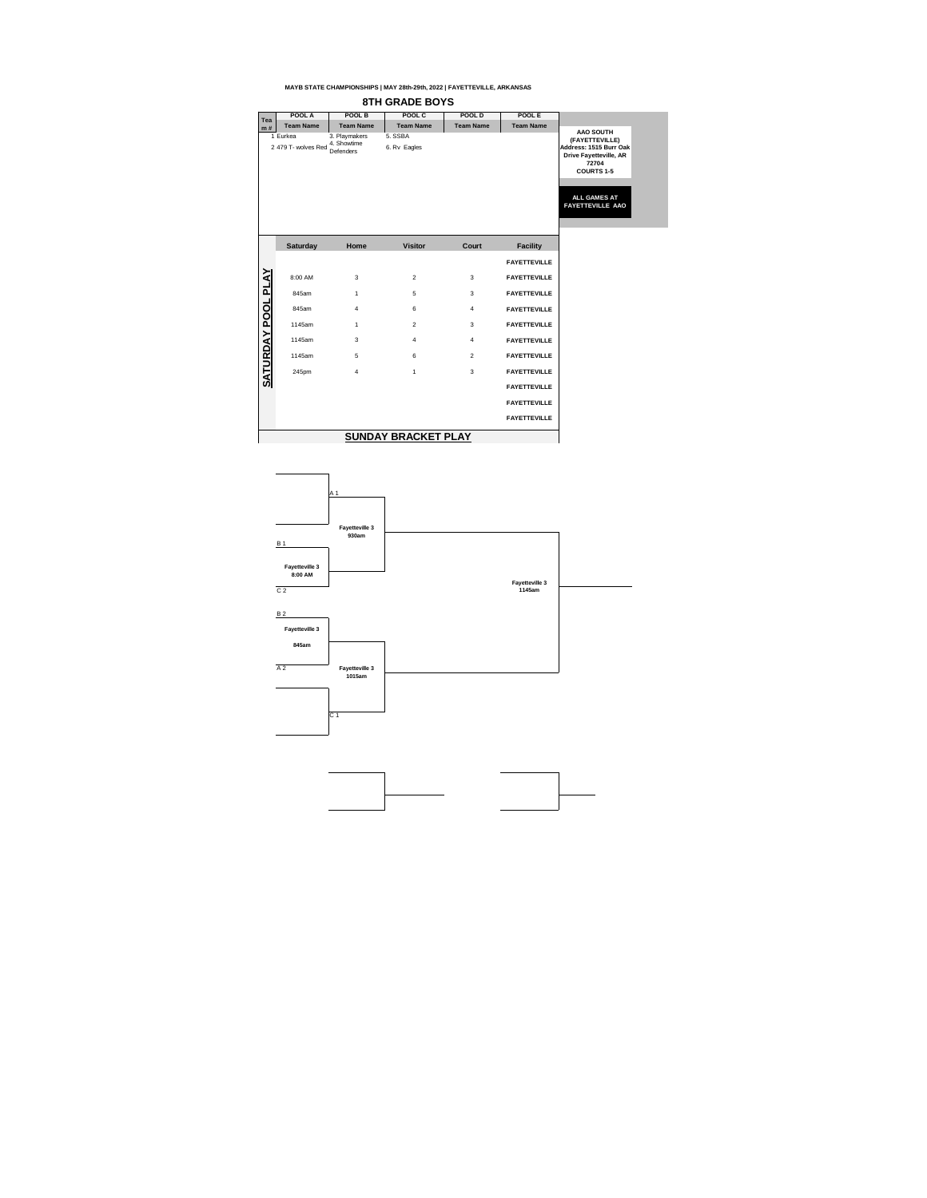| Tea              | POOL A                          | <b>POOL B</b>                             | POOL C                  | <b>POOL D</b>           | <b>POOLE</b>        |                                                                                                                                                                               |
|------------------|---------------------------------|-------------------------------------------|-------------------------|-------------------------|---------------------|-------------------------------------------------------------------------------------------------------------------------------------------------------------------------------|
| m#               | <b>Team Name</b>                | <b>Team Name</b>                          | <b>Team Name</b>        | <b>Team Name</b>        | <b>Team Name</b>    |                                                                                                                                                                               |
|                  | 1 Eurkea<br>2 479 T- wolves Red | 3. Playmakers<br>4. Showtime<br>Defenders | 5. SSBA<br>6. Rv Eagles |                         |                     | <b>AAO SOUTH</b><br>(FAYETTEVILLE)<br>Address: 1515 Burr Oak<br><b>Drive Fayetteville, AR</b><br>72704<br><b>COURTS 1-5</b><br><b>ALL GAMES AT</b><br><b>FAYETTEVILLE AAO</b> |
|                  | <b>Saturday</b>                 | Home                                      | <b>Visitor</b>          | <b>Court</b>            | <b>Facility</b>     |                                                                                                                                                                               |
|                  |                                 |                                           |                         |                         | <b>FAYETTEVILLE</b> |                                                                                                                                                                               |
| <u>POOL PLAY</u> | 8:00 AM                         | 3                                         | $\overline{2}$          | 3                       | <b>FAYETTEVILLE</b> |                                                                                                                                                                               |
|                  | 845am                           | $\mathbf{1}$                              | 5                       | 3                       | <b>FAYETTEVILLE</b> |                                                                                                                                                                               |
|                  | 845am                           | 4                                         | 6                       | $\overline{\mathbf{4}}$ | <b>FAYETTEVILLE</b> |                                                                                                                                                                               |
|                  | 1145am                          | 1                                         | $\overline{2}$          | 3                       | <b>FAYETTEVILLE</b> |                                                                                                                                                                               |
| $\sum_{i=1}^{n}$ | 1145am                          | 3                                         | 4                       | $\overline{4}$          | <b>FAYETTEVILLE</b> |                                                                                                                                                                               |
|                  | 1145am                          | 5                                         | 6                       | $\overline{2}$          | <b>FAYETTEVILLE</b> |                                                                                                                                                                               |
| <b>SATURD</b>    | 245pm                           | 4                                         |                         | 3                       | <b>FAYETTEVILLE</b> |                                                                                                                                                                               |
|                  |                                 |                                           |                         |                         | <b>FAYETTEVILLE</b> |                                                                                                                                                                               |
|                  |                                 |                                           |                         |                         | <b>FAYETTEVILLE</b> |                                                                                                                                                                               |
|                  |                                 |                                           |                         |                         | <b>FAYETTEVILLE</b> |                                                                                                                                                                               |
|                  |                                 |                                           |                         |                         |                     |                                                                                                                                                                               |



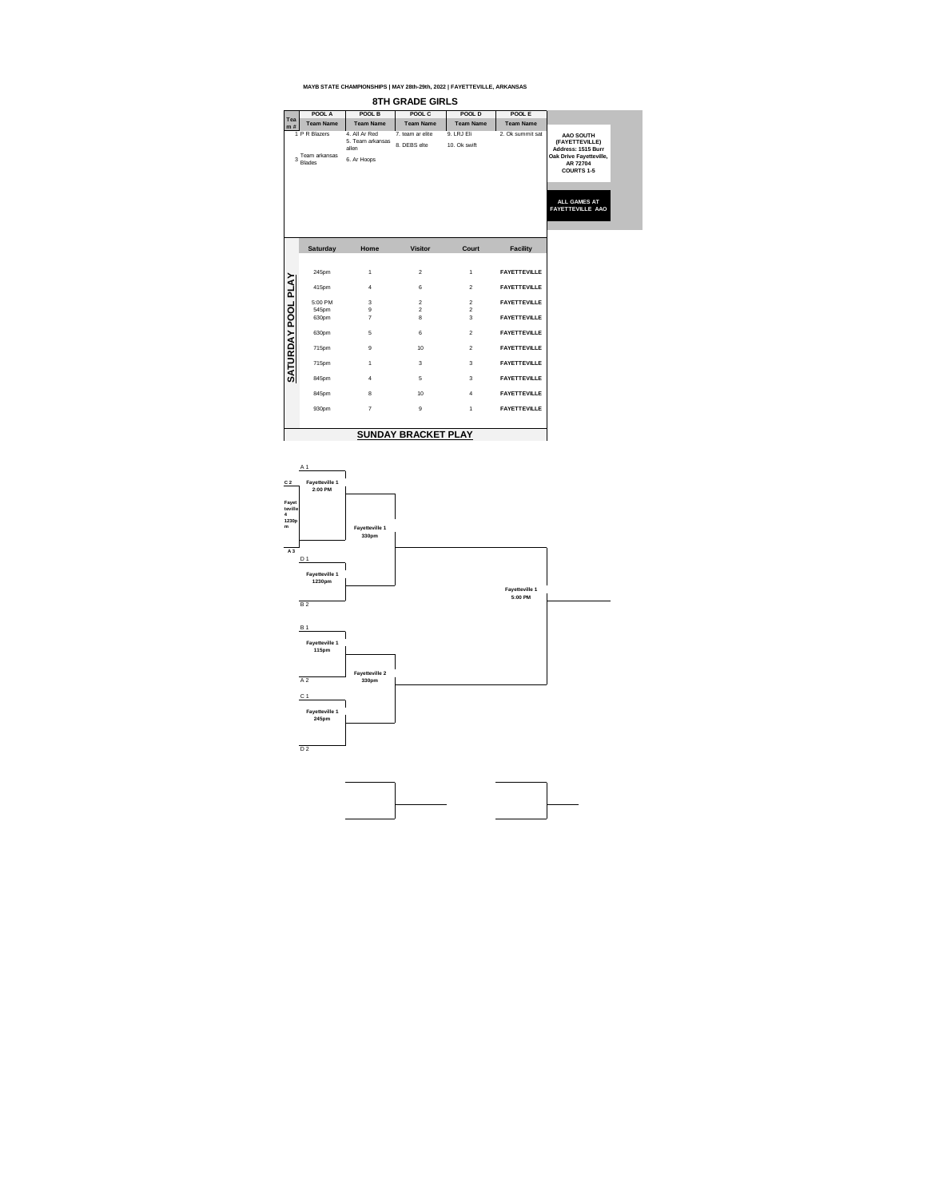|                  | POOL A                                          | POOL B                                                    | POOL C                           | POOL D                           | POOL E              |                                                                                                 |
|------------------|-------------------------------------------------|-----------------------------------------------------------|----------------------------------|----------------------------------|---------------------|-------------------------------------------------------------------------------------------------|
| <b>Tea</b><br>m# | <b>Team Name</b>                                | <b>Team Name</b>                                          | <b>Team Name</b>                 | <b>Team Name</b>                 | <b>Team Name</b>    |                                                                                                 |
| 3                | 1 P R Blazers<br>Team arkansas<br><b>Blades</b> | 4. All Ar Red<br>5. Team arkansas<br>allen<br>6. Ar Hoops | 7. team ar elite<br>8. DEBS elte | 9. LRJ Eli<br>10. Ok swift       | 2. Ok summit sat    | <b>AAO SOUTH</b><br>(FAYETTEVILLE)<br>Address: 1515 Burr<br>Oak Drive Fayetteville,<br>AR 72704 |
|                  |                                                 |                                                           |                                  |                                  |                     | <b>COURTS 1-5</b>                                                                               |
|                  |                                                 |                                                           |                                  |                                  |                     | <b>ALL GAMES AT</b><br>FAYETTEVILLE AAO                                                         |
|                  | <b>Saturday</b>                                 | Home                                                      | <b>Visitor</b>                   | <b>Court</b>                     | <b>Facility</b>     |                                                                                                 |
|                  | 245pm                                           | 1                                                         | $\overline{2}$                   | $\mathbf 1$                      | <b>FAYETTEVILLE</b> |                                                                                                 |
|                  | 415pm                                           | 4                                                         | 6                                | $\overline{2}$                   | <b>FAYETTEVILLE</b> |                                                                                                 |
| <b>OOL PLAY</b>  | 5:00 PM                                         | $\mathfrak{B}$<br>$\boldsymbol{9}$                        | $\overline{2}$<br>$\overline{2}$ | $\overline{2}$<br>$\overline{c}$ | <b>FAYETTEVILLE</b> |                                                                                                 |
| $\mathbf{a}$     | 545pm<br>630pm                                  | $\overline{7}$                                            | 8                                | 3                                | <b>FAYETTEVILLE</b> |                                                                                                 |
|                  | 630pm                                           | 5                                                         | $\,6$                            | $\overline{2}$                   | <b>FAYETTEVILLE</b> |                                                                                                 |
|                  | 715pm                                           | $\boldsymbol{9}$                                          | 10                               | $\overline{2}$                   | <b>FAYETTEVILLE</b> |                                                                                                 |
| <b>SATURDAY</b>  | 715pm                                           | 1                                                         | 3                                | $\mathfrak{S}$                   | <b>FAYETTEVILLE</b> |                                                                                                 |
|                  | 845pm                                           | 4                                                         | 5                                | $\mathfrak{S}$                   | <b>FAYETTEVILLE</b> |                                                                                                 |
|                  | 845pm                                           | $\bf 8$                                                   | 10                               | $\overline{4}$                   | <b>FAYETTEVILLE</b> |                                                                                                 |
|                  | 930pm                                           | $\overline{7}$                                            | $9\,$                            | $\mathbf{1}$                     | <b>FAYETTEVILLE</b> |                                                                                                 |
|                  |                                                 |                                                           |                                  |                                  |                     |                                                                                                 |





# **SUNDAY BRACKET PLAY**

## **MAYB STATE CHAMPIONSHIPS | MAY 28th-29th, 2022 | FAYETTEVILLE, ARKANSAS**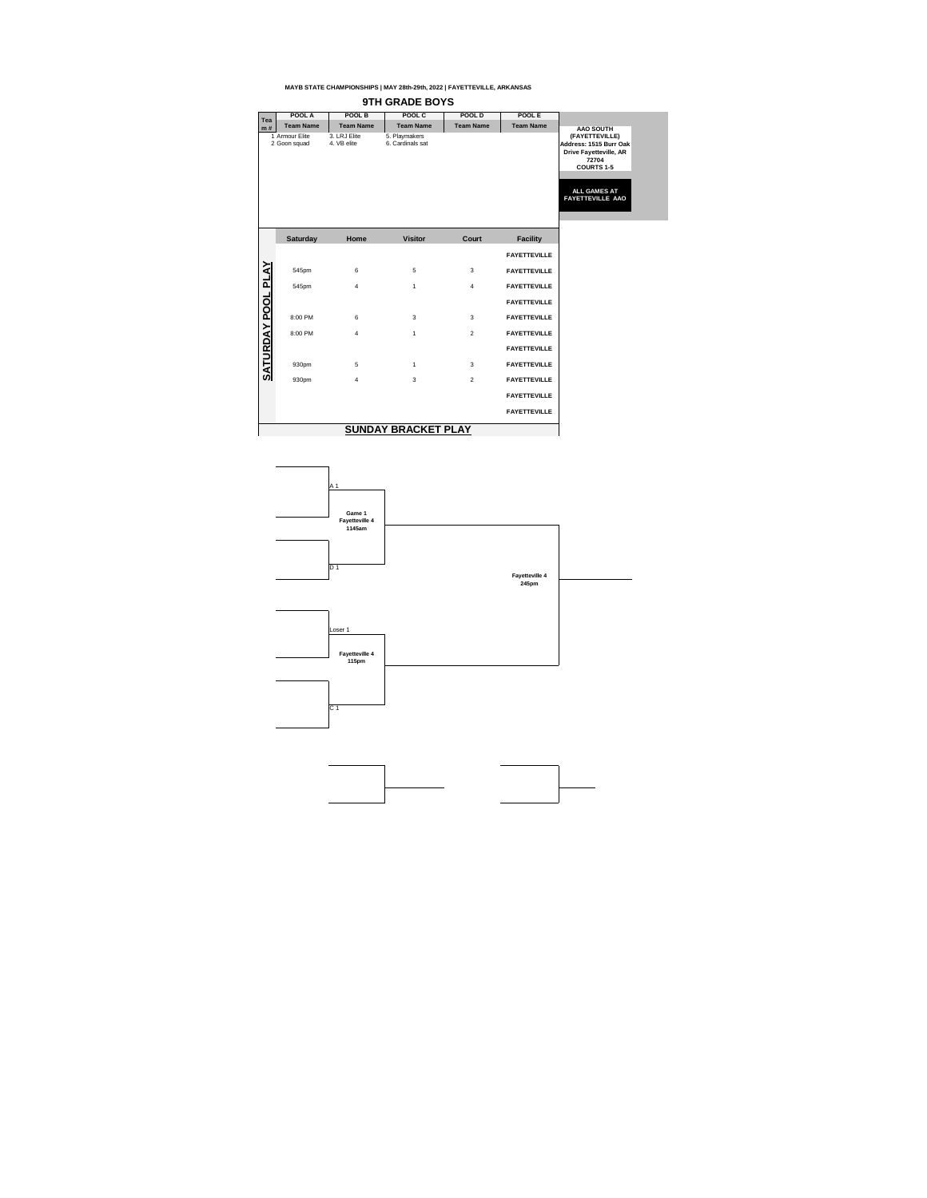

| <b>Tea</b>           | <b>POOL A</b>    | POOL B                   | POOL C           | <b>POOL D</b>    | POOL E              |                                        |
|----------------------|------------------|--------------------------|------------------|------------------|---------------------|----------------------------------------|
| m#                   | <b>Team Name</b> | <b>Team Name</b>         | <b>Team Name</b> | <b>Team Name</b> | <b>Team Name</b>    | <b>AAO SOUTH</b>                       |
|                      | 1 Armour Elite   | 3. LRJ Elite             | 5. Playmakers    |                  |                     | (FAYETTEVILLE)                         |
|                      | 2 Goon squad     | 4. VB elite              | 6. Cardinals sat |                  |                     | Address: 1515 Burr Oak                 |
|                      |                  |                          |                  |                  |                     | <b>Drive Fayetteville, AR</b><br>72704 |
|                      |                  |                          |                  |                  |                     | <b>COURTS 1-5</b>                      |
|                      |                  |                          |                  |                  |                     |                                        |
|                      |                  |                          |                  |                  |                     | <b>ALL GAMES AT</b>                    |
|                      |                  |                          |                  |                  |                     | <b>FAYETTEVILLE AAO</b>                |
|                      |                  |                          |                  |                  |                     |                                        |
|                      |                  |                          |                  |                  |                     |                                        |
|                      |                  |                          |                  |                  |                     |                                        |
|                      | <b>Saturday</b>  | Home                     | <b>Visitor</b>   | <b>Court</b>     | <b>Facility</b>     |                                        |
|                      |                  |                          |                  |                  | <b>FAYETTEVILLE</b> |                                        |
| <b>PLAY</b>          | 545pm            | $\,6$                    | $5\phantom{.0}$  | 3                | <b>FAYETTEVILLE</b> |                                        |
|                      | 545pm            | $\overline{\mathcal{A}}$ | $\mathbf 1$      | $\overline{4}$   | <b>FAYETTEVILLE</b> |                                        |
|                      |                  |                          |                  |                  | <b>FAYETTEVILLE</b> |                                        |
|                      | 8:00 PM          | $\,6\,$                  | $\mathbf{3}$     | $\mathbf{3}$     | <b>FAYETTEVILLE</b> |                                        |
|                      | 8:00 PM          | $\overline{\mathcal{A}}$ | 1                | 2                | <b>FAYETTEVILLE</b> |                                        |
|                      |                  |                          |                  |                  | <b>FAYETTEVILLE</b> |                                        |
| <b>SATURDAY POOL</b> | 930pm            | 5                        | 1                | 3                | <b>FAYETTEVILLE</b> |                                        |
|                      | 930pm            | 4                        | 3                | 2                | <b>FAYETTEVILLE</b> |                                        |
|                      |                  |                          |                  |                  | <b>FAYETTEVILLE</b> |                                        |
|                      |                  |                          |                  |                  | <b>FAYETTEVILLE</b> |                                        |
|                      |                  |                          |                  |                  |                     |                                        |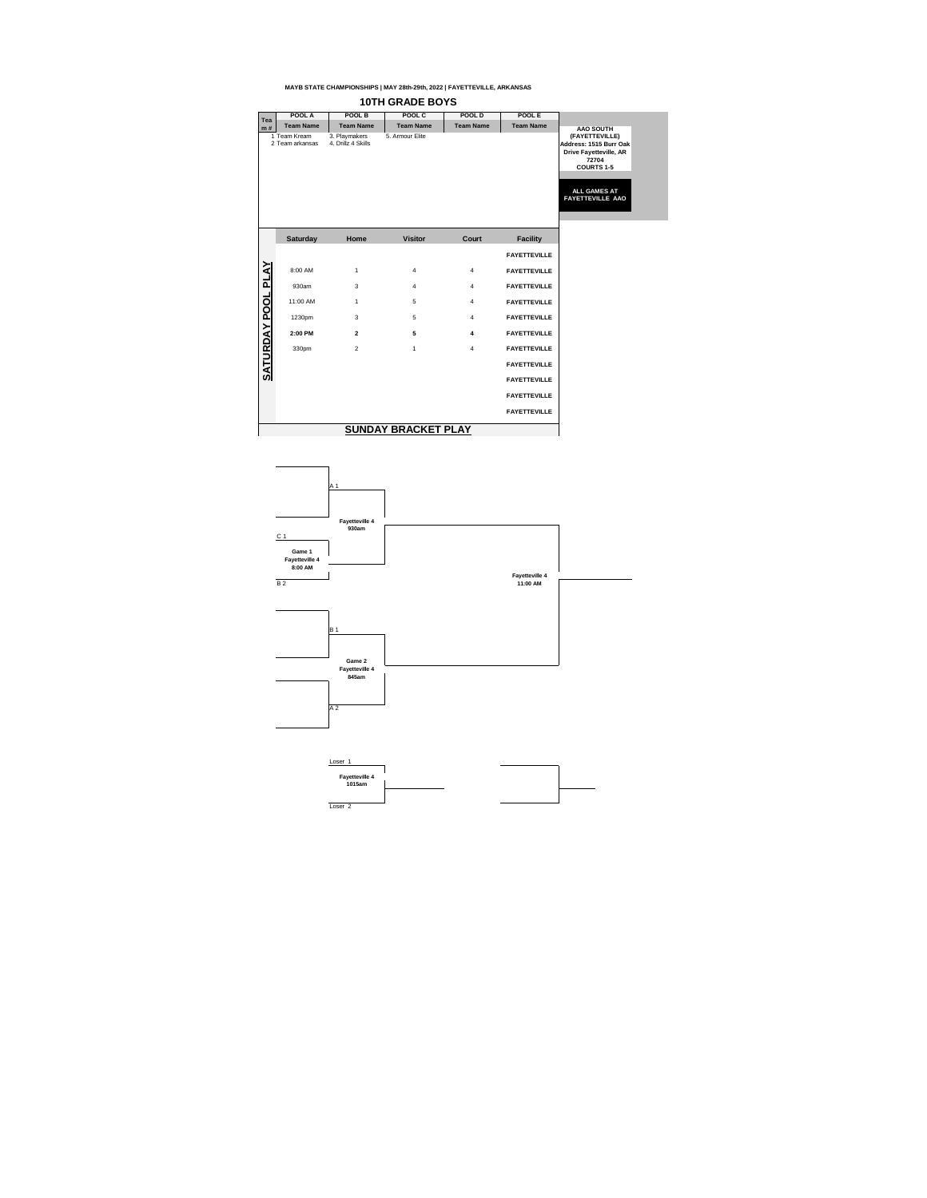

| Tea          | POOL A                          | POOL B                              | POOL C           | POOL D           | POOL E              |                                                                                                                                                           |
|--------------|---------------------------------|-------------------------------------|------------------|------------------|---------------------|-----------------------------------------------------------------------------------------------------------------------------------------------------------|
| m#           | <b>Team Name</b>                | <b>Team Name</b>                    | <b>Team Name</b> | <b>Team Name</b> | <b>Team Name</b>    | <b>AAO SOUTH</b>                                                                                                                                          |
|              | 1 Team Kream<br>2 Team arkansas | 3. Playmakers<br>4. Drillz 4 Skills | 5. Armour Elite  |                  |                     | (FAYETTEVILLE)<br>Address: 1515 Burr Oak<br><b>Drive Fayetteville, AR</b><br>72704<br><b>COURTS 1-5</b><br><b>ALL GAMES AT</b><br><b>FAYETTEVILLE AAO</b> |
|              | <b>Saturday</b>                 | Home                                | <b>Visitor</b>   | <b>Court</b>     | <b>Facility</b>     |                                                                                                                                                           |
|              |                                 |                                     |                  |                  | <b>FAYETTEVILLE</b> |                                                                                                                                                           |
| <b>PLAY</b>  | 8:00 AM                         | $\mathbf 1$                         | $\overline{4}$   | $\overline{4}$   | <b>FAYETTEVILLE</b> |                                                                                                                                                           |
|              | 930am                           | 3                                   | $\overline{4}$   | 4                | <b>FAYETTEVILLE</b> |                                                                                                                                                           |
| <b>POOL</b>  | 11:00 AM                        | $\mathbf 1$                         | $5\phantom{.0}$  | $\overline{4}$   | <b>FAYETTEVILLE</b> |                                                                                                                                                           |
|              | 1230pm                          | $\mathfrak{S}$                      | $5\phantom{.0}$  | $\overline{4}$   | <b>FAYETTEVILLE</b> |                                                                                                                                                           |
| <b>YAO</b>   | 2:00 PM                         | $\boldsymbol{2}$                    | $5\phantom{.0}$  | 4                | <b>FAYETTEVILLE</b> |                                                                                                                                                           |
|              | 330pm                           | $\overline{2}$                      | 1                | 4                | <b>FAYETTEVILLE</b> |                                                                                                                                                           |
| <b>SATUR</b> |                                 |                                     |                  |                  | <b>FAYETTEVILLE</b> |                                                                                                                                                           |
|              |                                 |                                     |                  |                  | <b>FAYETTEVILLE</b> |                                                                                                                                                           |
|              |                                 |                                     |                  |                  | <b>FAYETTEVILLE</b> |                                                                                                                                                           |
|              |                                 |                                     |                  |                  | <b>FAYETTEVILLE</b> |                                                                                                                                                           |
|              |                                 |                                     |                  |                  |                     |                                                                                                                                                           |

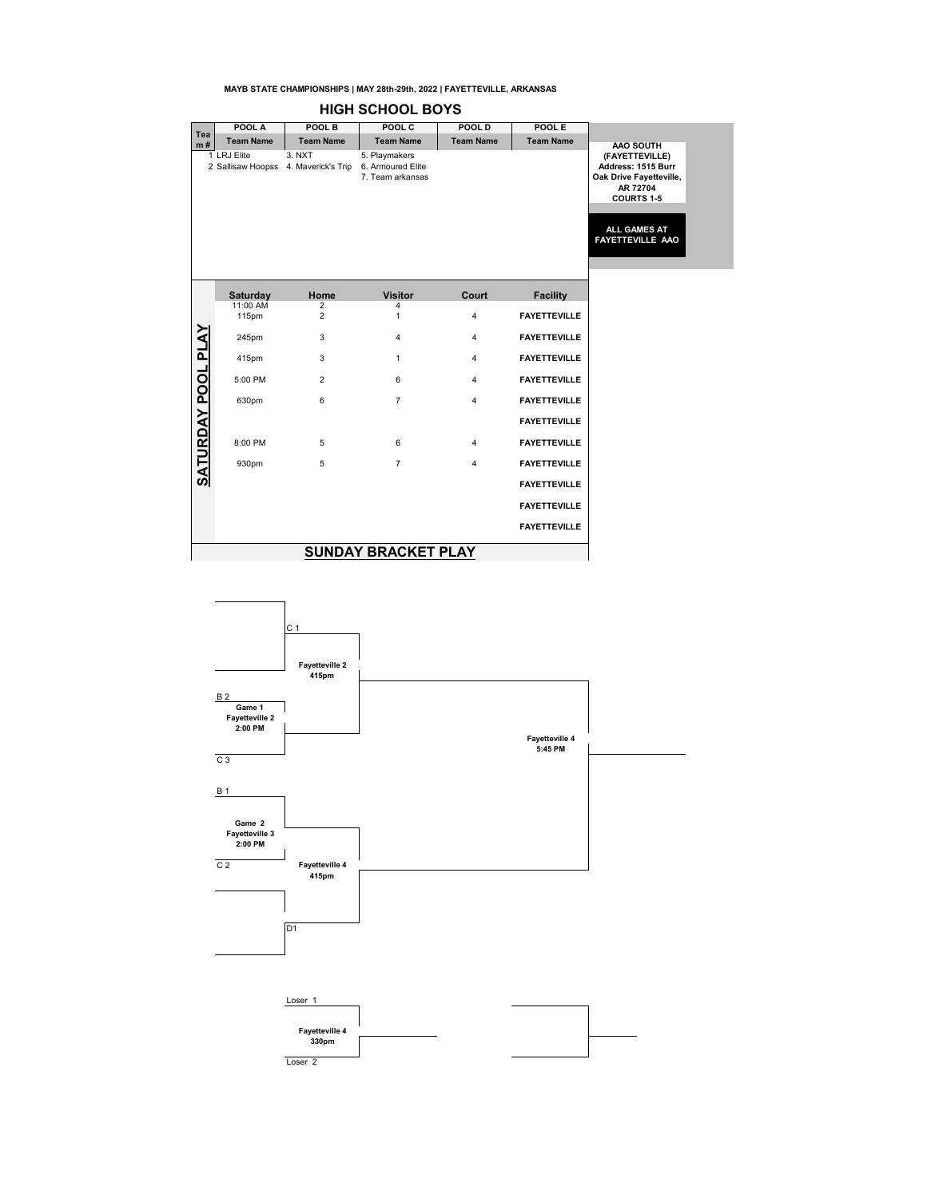|                           | <b>HIGH SCHOOL BOYS</b> |                                                                  |                                   |                  |                     |                                                                                                                                             |  |  |  |  |  |
|---------------------------|-------------------------|------------------------------------------------------------------|-----------------------------------|------------------|---------------------|---------------------------------------------------------------------------------------------------------------------------------------------|--|--|--|--|--|
|                           | POOL A                  | POOL B                                                           | POOL C                            | POOL D           | POOL E              |                                                                                                                                             |  |  |  |  |  |
| Tea<br>m#                 | <b>Team Name</b>        | <b>Team Name</b>                                                 | <b>Team Name</b>                  | <b>Team Name</b> | <b>Team Name</b>    | AAO SOUTH                                                                                                                                   |  |  |  |  |  |
|                           | 1 LRJ Elite             | 3. NXT<br>2 Sallisaw Hoopss 4. Maverick's Trip 6. Armoured Elite | 5. Playmakers<br>7. Team arkansas |                  |                     | (FAYETTEVILLE)<br>Address: 1515 Burr<br>Oak Drive Fayetteville,<br>AR 72704<br><b>COURTS 1-5</b><br>ALL GAMES AT<br><b>FAYETTEVILLE AAO</b> |  |  |  |  |  |
|                           | Saturday                | Home                                                             | <b>Visitor</b>                    | Court            | <b>Facility</b>     |                                                                                                                                             |  |  |  |  |  |
|                           | 11:00 AM<br>115pm       | 2<br>$\overline{2}$                                              | 4<br>$\mathbf{1}$                 | $\overline{4}$   | <b>FAYETTEVILLE</b> |                                                                                                                                             |  |  |  |  |  |
| <b>SATURDAY POOL PLAY</b> | 245pm                   | 3                                                                | $\overline{4}$                    | $\overline{4}$   | <b>FAYETTEVILLE</b> |                                                                                                                                             |  |  |  |  |  |
|                           | 415pm                   | 3                                                                | $\mathbf{1}$                      | $\overline{4}$   | <b>FAYETTEVILLE</b> |                                                                                                                                             |  |  |  |  |  |
|                           | 5:00 PM                 | $\overline{2}$                                                   | 6                                 | 4                | <b>FAYETTEVILLE</b> |                                                                                                                                             |  |  |  |  |  |
|                           | 630pm                   | 6                                                                | $\overline{7}$                    | 4                | <b>FAYETTEVILLE</b> |                                                                                                                                             |  |  |  |  |  |
|                           |                         |                                                                  |                                   |                  | <b>FAYETTEVILLE</b> |                                                                                                                                             |  |  |  |  |  |
|                           | 8:00 PM                 | 5                                                                | 6                                 | $\overline{4}$   | <b>FAYETTEVILLE</b> |                                                                                                                                             |  |  |  |  |  |
|                           | 930pm                   | 5                                                                | $\overline{7}$                    | 4                | <b>FAYETTEVILLE</b> |                                                                                                                                             |  |  |  |  |  |
|                           |                         |                                                                  |                                   |                  | <b>FAYETTEVILLE</b> |                                                                                                                                             |  |  |  |  |  |
|                           |                         |                                                                  |                                   |                  | <b>FAYETTEVILLE</b> |                                                                                                                                             |  |  |  |  |  |
|                           |                         |                                                                  |                                   |                  | <b>FAYETTEVILLE</b> |                                                                                                                                             |  |  |  |  |  |
|                           |                         |                                                                  | <b>SUNDAY BRACKET PLAY</b>        |                  |                     |                                                                                                                                             |  |  |  |  |  |

## $C<sub>1</sub>$ **Fayetteville 2 415pm**  $B<sub>2</sub>$ H **Game 1 Fayetteville 2 2:00 PM Fayetteville 4 5:45 PM** C 3 B 1 **Game 2 Fayetteville 3 2:00 PM**  $\overline{\phantom{a}}$ C 2 **Fayetteville 4 415pm** D<sub>1</sub> Loser 1 **Fayetteville 4 330pm** Loser 2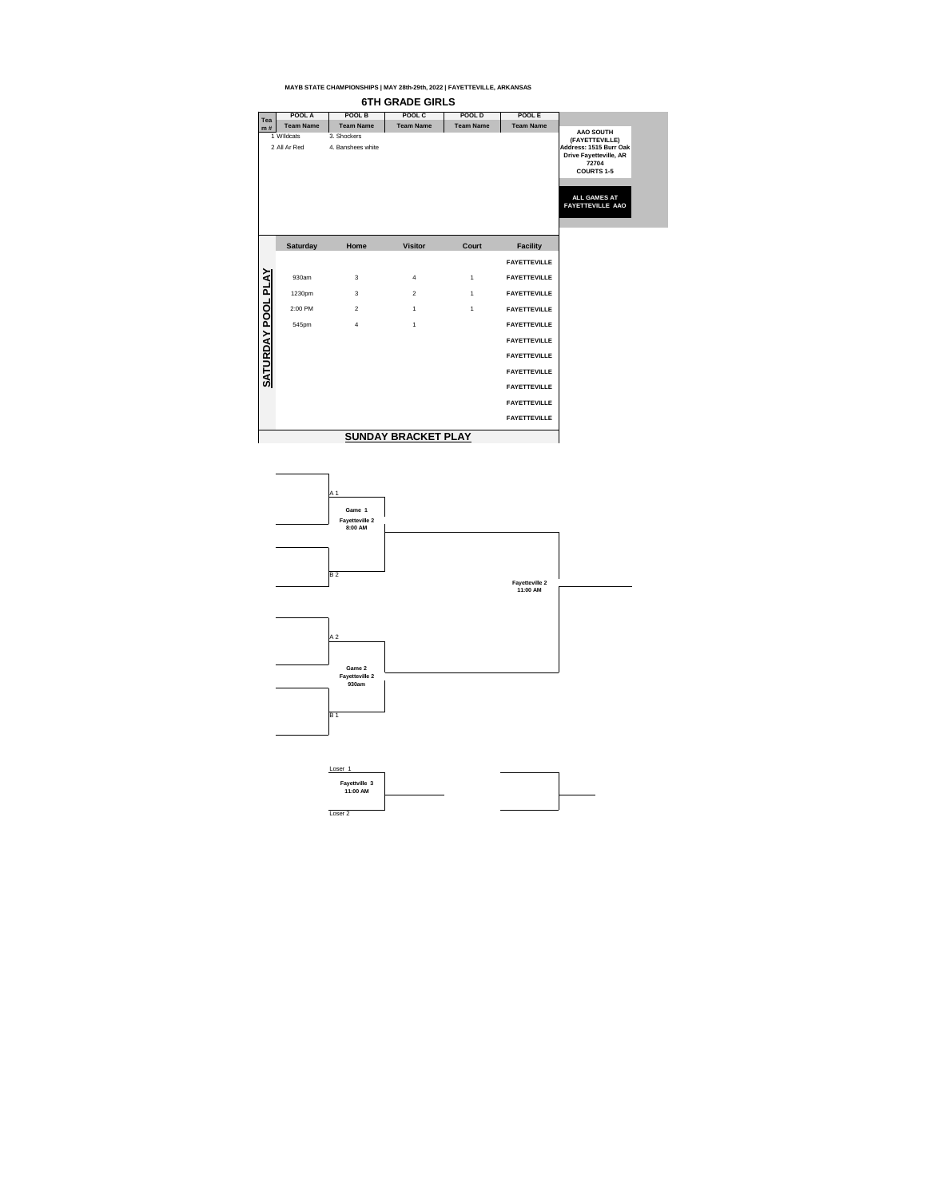

| Tea           | POOL A                     | <b>POOL B</b>                    | POOL C                  | <b>POOL D</b>    | <b>POOLE</b>        |                                                                                                                                                                               |
|---------------|----------------------------|----------------------------------|-------------------------|------------------|---------------------|-------------------------------------------------------------------------------------------------------------------------------------------------------------------------------|
| m#            | <b>Team Name</b>           | <b>Team Name</b>                 | <b>Team Name</b>        | <b>Team Name</b> | <b>Team Name</b>    |                                                                                                                                                                               |
|               | 1 WIldcats<br>2 All Ar Red | 3. Shockers<br>4. Banshees white |                         |                  |                     | <b>AAO SOUTH</b><br>(FAYETTEVILLE)<br>Address: 1515 Burr Oak<br><b>Drive Fayetteville, AR</b><br>72704<br><b>COURTS 1-5</b><br><b>ALL GAMES AT</b><br><b>FAYETTEVILLE AAO</b> |
|               | <b>Saturday</b>            | Home                             | <b>Visitor</b>          | Court            | <b>Facility</b>     |                                                                                                                                                                               |
|               |                            |                                  |                         |                  | <b>FAYETTEVILLE</b> |                                                                                                                                                                               |
| <b>YAJ</b>    | 930am                      | 3                                | $\overline{\mathbf{4}}$ | $\mathbf{1}$     | <b>FAYETTEVILLE</b> |                                                                                                                                                                               |
|               | 1230pm                     | 3                                | $\overline{2}$          | $\mathbf{1}$     | <b>FAYETTEVILLE</b> |                                                                                                                                                                               |
| <b>POOL</b>   | 2:00 PM                    | $\overline{2}$                   | $\mathbf 1$             | $\mathbf{1}$     | <b>FAYETTEVILLE</b> |                                                                                                                                                                               |
|               | 545pm                      | $\overline{\mathbf{4}}$          | $\mathbf 1$             |                  | <b>FAYETTEVILLE</b> |                                                                                                                                                                               |
| $\sum$        |                            |                                  |                         |                  | <b>FAYETTEVILLE</b> |                                                                                                                                                                               |
| <b>SATURD</b> |                            |                                  |                         |                  | <b>FAYETTEVILLE</b> |                                                                                                                                                                               |
|               |                            |                                  |                         |                  | <b>FAYETTEVILLE</b> |                                                                                                                                                                               |
|               |                            |                                  |                         |                  | <b>FAYETTEVILLE</b> |                                                                                                                                                                               |
|               |                            |                                  |                         |                  | <b>FAYETTEVILLE</b> |                                                                                                                                                                               |
|               |                            |                                  |                         |                  | <b>FAYETTEVILLE</b> |                                                                                                                                                                               |
|               |                            |                                  |                         |                  |                     |                                                                                                                                                                               |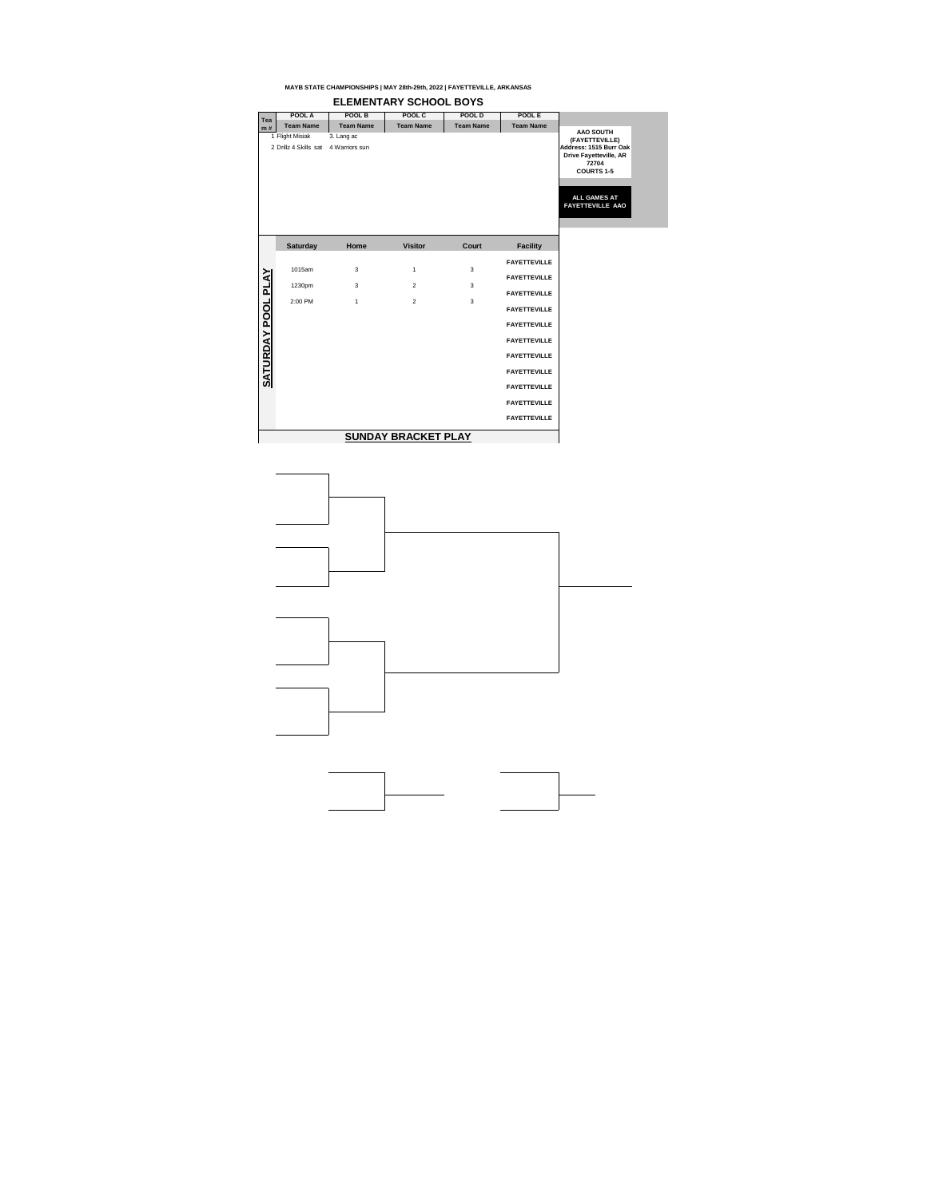| <b>Tea</b>             | POOL A                                   | <b>POOL B</b>                | POOL C           | POOL D           | POOL E              |                                                                                                                                                                               |
|------------------------|------------------------------------------|------------------------------|------------------|------------------|---------------------|-------------------------------------------------------------------------------------------------------------------------------------------------------------------------------|
| m#                     | <b>Team Name</b>                         | <b>Team Name</b>             | <b>Team Name</b> | <b>Team Name</b> | <b>Team Name</b>    |                                                                                                                                                                               |
|                        | 1 Flight Misiak<br>2 Drillz 4 Skills sat | 3. Lang ac<br>4 Warriors sun |                  |                  |                     | <b>AAO SOUTH</b><br>(FAYETTEVILLE)<br>Address: 1515 Burr Oak<br><b>Drive Fayetteville, AR</b><br>72704<br><b>COURTS 1-5</b><br><b>ALL GAMES AT</b><br><b>FAYETTEVILLE AAO</b> |
|                        | <b>Saturday</b>                          | Home                         | <b>Visitor</b>   | <b>Court</b>     | <b>Facility</b>     |                                                                                                                                                                               |
|                        | 1015am                                   | $\mathfrak{S}$               | $\mathbf 1$      | $\mathfrak{S}$   | <b>FAYETTEVILLE</b> |                                                                                                                                                                               |
| $\boldsymbol{\lambda}$ |                                          |                              |                  |                  | <b>FAYETTEVILLE</b> |                                                                                                                                                                               |
| ᆜ                      | 1230pm                                   | 3                            | $\overline{2}$   | $\mathfrak{S}$   | <b>FAYETTEVILLE</b> |                                                                                                                                                                               |
| <b>POOL</b>            | 2:00 PM                                  | $\mathbf{1}$                 | $\overline{2}$   | $\mathfrak{B}$   | <b>FAYETTEVILLE</b> |                                                                                                                                                                               |
|                        |                                          |                              |                  |                  | <b>FAYETTEVILLE</b> |                                                                                                                                                                               |
| $\sum$                 |                                          |                              |                  |                  | <b>FAYETTEVILLE</b> |                                                                                                                                                                               |
| <u>SATURD</u>          |                                          |                              |                  |                  | <b>FAYETTEVILLE</b> |                                                                                                                                                                               |
|                        |                                          |                              |                  |                  | <b>FAYETTEVILLE</b> |                                                                                                                                                                               |
|                        |                                          |                              |                  |                  | <b>FAYETTEVILLE</b> |                                                                                                                                                                               |
|                        |                                          |                              |                  |                  | <b>FAYETTEVILLE</b> |                                                                                                                                                                               |
|                        |                                          |                              |                  |                  | <b>FAYETTEVILLE</b> |                                                                                                                                                                               |
|                        |                                          |                              |                  |                  |                     |                                                                                                                                                                               |





# **ELEMENTARY SCHOOL BOYS**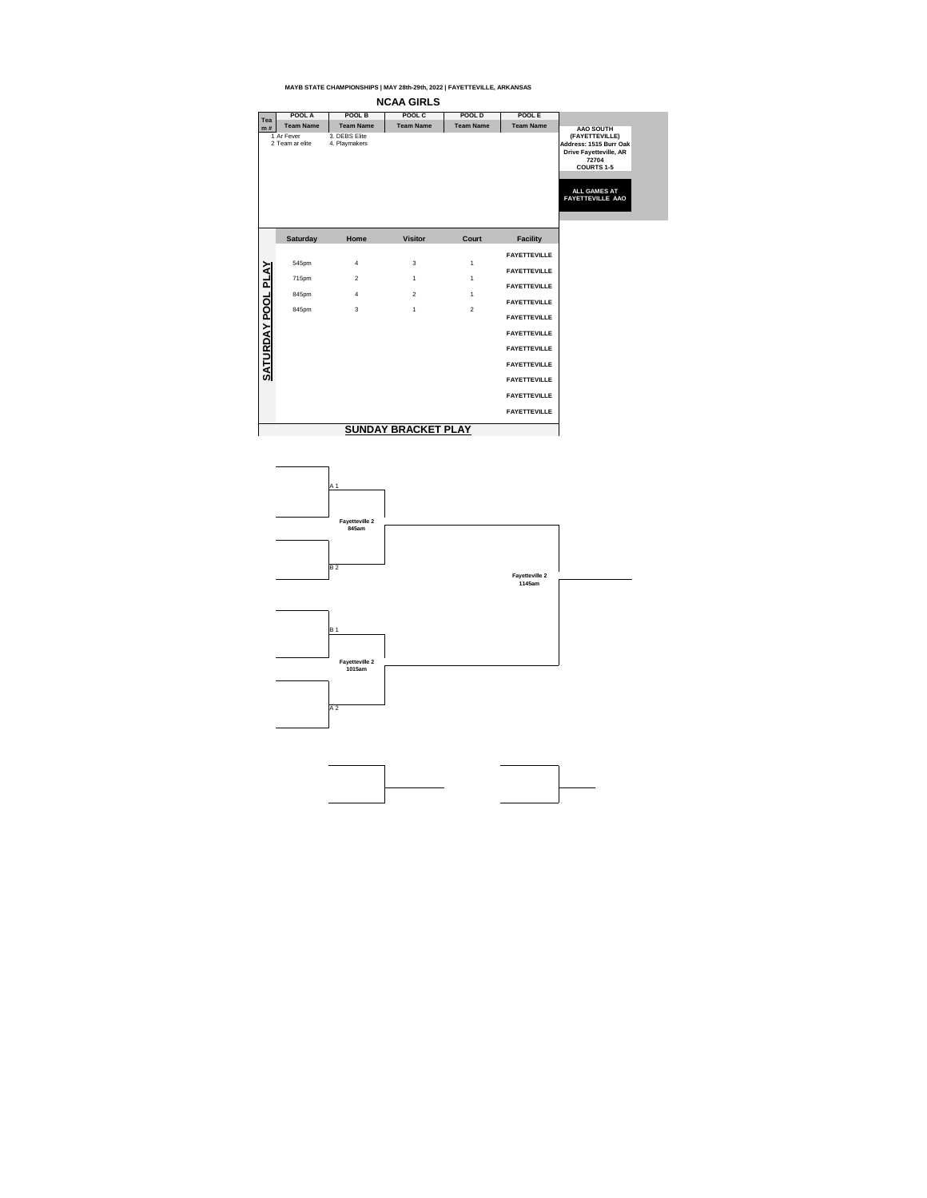



| Tea                       | <b>POOL A</b>                 | POOL B                         | POOL C           | POOL D           | POOL E              |                                                                                                                                                    |
|---------------------------|-------------------------------|--------------------------------|------------------|------------------|---------------------|----------------------------------------------------------------------------------------------------------------------------------------------------|
| m#                        | <b>Team Name</b>              | <b>Team Name</b>               | <b>Team Name</b> | <b>Team Name</b> | <b>Team Name</b>    | <b>AAO SOUTH</b>                                                                                                                                   |
|                           | 1 Ar Fever<br>2 Team ar elite | 3. DEBS Elite<br>4. Playmakers |                  |                  |                     | (FAYETTEVILLE)<br>Address: 1515 Burr Oak<br><b>Drive Fayetteville, AR</b><br>72704<br><b>COURTS 1-5</b><br><b>ALL GAMES AT</b><br>FAYETTEVILLE AAO |
|                           | <b>Saturday</b>               | Home                           | <b>Visitor</b>   | <b>Court</b>     | <b>Facility</b>     |                                                                                                                                                    |
|                           |                               |                                |                  |                  | <b>FAYETTEVILLE</b> |                                                                                                                                                    |
|                           | 545pm                         | $\overline{\mathcal{A}}$       | $\mathbf{3}$     | 1                |                     |                                                                                                                                                    |
|                           | 715pm                         | $\overline{2}$                 | $\mathbf{1}$     | 1                | <b>FAYETTEVILLE</b> |                                                                                                                                                    |
|                           | 845pm                         | $\overline{\mathcal{A}}$       | $\overline{2}$   | 1                | <b>FAYETTEVILLE</b> |                                                                                                                                                    |
|                           |                               |                                |                  |                  | <b>FAYETTEVILLE</b> |                                                                                                                                                    |
|                           | 845pm                         | $\mathfrak{S}$                 | $\mathbf 1$      | $\overline{2}$   | <b>FAYETTEVILLE</b> |                                                                                                                                                    |
|                           |                               |                                |                  |                  | <b>FAYETTEVILLE</b> |                                                                                                                                                    |
|                           |                               |                                |                  |                  | <b>FAYETTEVILLE</b> |                                                                                                                                                    |
| <u>SATURDAY POOL PLAY</u> |                               |                                |                  |                  | <b>FAYETTEVILLE</b> |                                                                                                                                                    |
|                           |                               |                                |                  |                  | <b>FAYETTEVILLE</b> |                                                                                                                                                    |
|                           |                               |                                |                  |                  | <b>FAYETTEVILLE</b> |                                                                                                                                                    |
|                           |                               |                                |                  |                  | <b>FAYETTEVILLE</b> |                                                                                                                                                    |
|                           |                               |                                |                  |                  |                     |                                                                                                                                                    |

# **NCAA GIRLS**